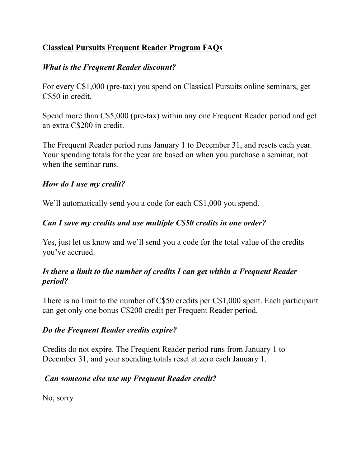## **Classical Pursuits Frequent Reader Program FAQs**

## *What is the Frequent Reader discount?*

For every C\$1,000 (pre-tax) you spend on Classical Pursuits online seminars, get C\$50 in credit.

Spend more than C\$5,000 (pre-tax) within any one Frequent Reader period and get an extra C\$200 in credit.

The Frequent Reader period runs January 1 to December 31, and resets each year. Your spending totals for the year are based on when you purchase a seminar, not when the seminar runs.

### *How do I use my credit?*

We'll automatically send you a code for each C\$1,000 you spend.

# *Can I save my credits and use multiple C\$50 credits in one order?*

Yes, just let us know and we'll send you a code for the total value of the credits you've accrued.

#### *Is there a limit to the number of credits I can get within a Frequent Reader period?*

There is no limit to the number of C\$50 credits per C\$1,000 spent. Each participant can get only one bonus C\$200 credit per Frequent Reader period.

### *Do the Frequent Reader credits expire?*

Credits do not expire. The Frequent Reader period runs from January 1 to December 31, and your spending totals reset at zero each January 1.

### *Can someone else use my Frequent Reader credit?*

No, sorry.